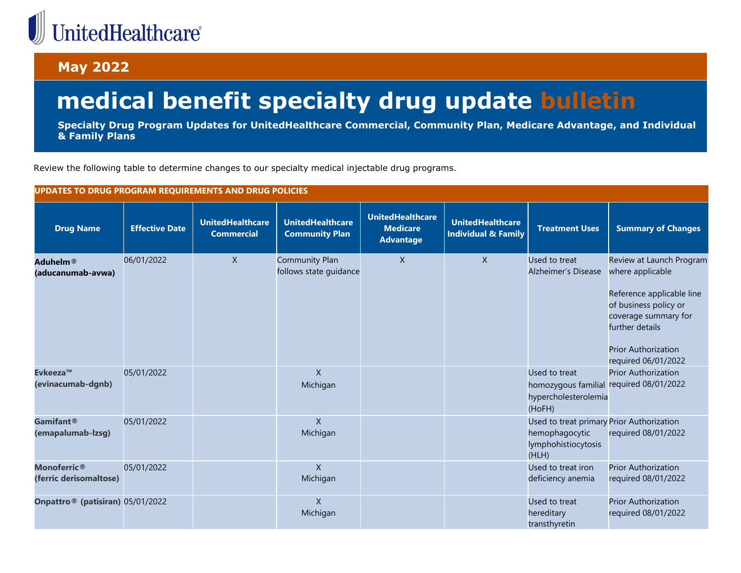## UnitedHealthcare®

## **May 2022**

## **medical benefit specialty drug update bulletin**

**Specialty Drug Program Updates for UnitedHealthcare Commercial, Community Plan, Medicare Advantage, and Individual & Family Plans**

Review the following table to determine changes to our specialty medical injectable drug programs.

| UPDATES TO DRUG PROGRAM REQUIREMENTS AND DRUG POLICIES   |                       |                                              |                                                  |                                                                |                                                           |                                                                                             |                                                                                                                                                                                                    |  |  |
|----------------------------------------------------------|-----------------------|----------------------------------------------|--------------------------------------------------|----------------------------------------------------------------|-----------------------------------------------------------|---------------------------------------------------------------------------------------------|----------------------------------------------------------------------------------------------------------------------------------------------------------------------------------------------------|--|--|
| <b>Drug Name</b>                                         | <b>Effective Date</b> | <b>UnitedHealthcare</b><br><b>Commercial</b> | <b>UnitedHealthcare</b><br><b>Community Plan</b> | <b>UnitedHealthcare</b><br><b>Medicare</b><br><b>Advantage</b> | <b>UnitedHealthcare</b><br><b>Individual &amp; Family</b> | <b>Treatment Uses</b>                                                                       | <b>Summary of Changes</b>                                                                                                                                                                          |  |  |
| Aduhelm®<br>(aducanumab-avwa)                            | 06/01/2022            | $\mathsf{X}$                                 | <b>Community Plan</b><br>follows state guidance  | $\mathsf{X}$                                                   | $\mathsf{X}$                                              | Used to treat<br>Alzheimer's Disease                                                        | Review at Launch Program<br>where applicable<br>Reference applicable line<br>of business policy or<br>coverage summary for<br>further details<br><b>Prior Authorization</b><br>required 06/01/2022 |  |  |
| Evkeeza™<br>(evinacumab-dgnb)                            | 05/01/2022            |                                              | $\mathsf{X}$<br>Michigan                         |                                                                |                                                           | Used to treat<br>homozygous familial<br>hypercholesterolemia<br>(HoFH)                      | <b>Prior Authorization</b><br>required 08/01/2022                                                                                                                                                  |  |  |
| Gamifant <sup>®</sup><br>(emapalumab-lzsg)               | 05/01/2022            |                                              | $\mathsf{X}$<br>Michigan                         |                                                                |                                                           | Used to treat primary Prior Authorization<br>hemophagocytic<br>lymphohistiocytosis<br>(HLH) | required 08/01/2022                                                                                                                                                                                |  |  |
| <b>Monoferric</b> <sup>®</sup><br>(ferric derisomaltose) | 05/01/2022            |                                              | $\mathsf{X}$<br>Michigan                         |                                                                |                                                           | Used to treat iron<br>deficiency anemia                                                     | <b>Prior Authorization</b><br>required 08/01/2022                                                                                                                                                  |  |  |
| Onpattro <sup>®</sup> (patisiran) 05/01/2022             |                       |                                              | $\mathsf{X}$<br>Michigan                         |                                                                |                                                           | Used to treat<br>hereditary<br>transthyretin                                                | <b>Prior Authorization</b><br>required 08/01/2022                                                                                                                                                  |  |  |